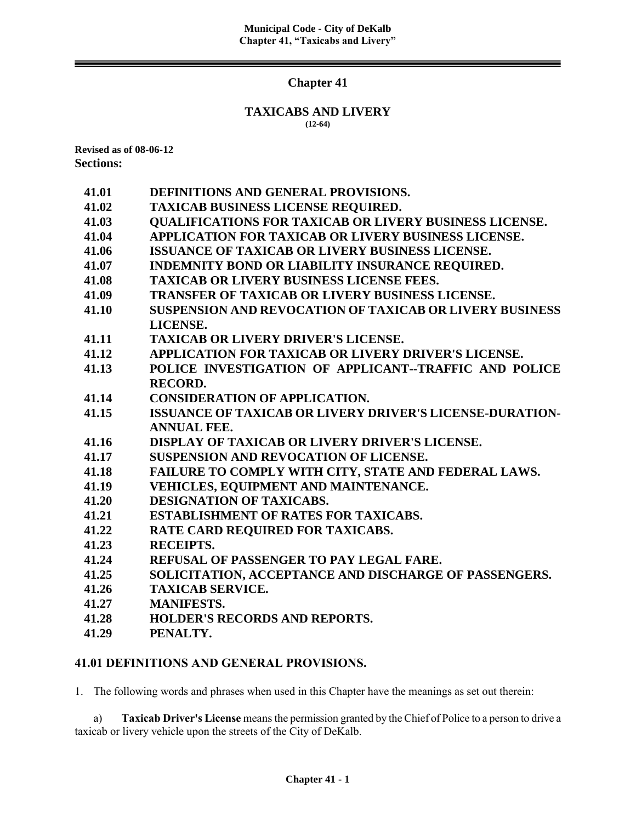# **Chapter 41**

#### **TAXICABS AND LIVERY (12-64)**

**Revised as of 08-06-12 Sections:**

| DEFINITIONS AND GENERAL PROVISIONS.                             |
|-----------------------------------------------------------------|
| <b>TAXICAB BUSINESS LICENSE REQUIRED.</b>                       |
| <b>QUALIFICATIONS FOR TAXICAB OR LIVERY BUSINESS LICENSE.</b>   |
| APPLICATION FOR TAXICAB OR LIVERY BUSINESS LICENSE.             |
| <b>ISSUANCE OF TAXICAB OR LIVERY BUSINESS LICENSE.</b>          |
| <b>INDEMNITY BOND OR LIABILITY INSURANCE REQUIRED.</b>          |
| <b>TAXICAB OR LIVERY BUSINESS LICENSE FEES.</b>                 |
| <b>TRANSFER OF TAXICAB OR LIVERY BUSINESS LICENSE.</b>          |
| <b>SUSPENSION AND REVOCATION OF TAXICAB OR LIVERY BUSINESS</b>  |
| LICENSE.                                                        |
| <b>TAXICAB OR LIVERY DRIVER'S LICENSE.</b>                      |
| APPLICATION FOR TAXICAB OR LIVERY DRIVER'S LICENSE.             |
| POLICE INVESTIGATION OF APPLICANT--TRAFFIC AND POLICE           |
| <b>RECORD.</b>                                                  |
| <b>CONSIDERATION OF APPLICATION.</b>                            |
| <b>ISSUANCE OF TAXICAB OR LIVERY DRIVER'S LICENSE-DURATION-</b> |
| <b>ANNUAL FEE.</b>                                              |
| <b>DISPLAY OF TAXICAB OR LIVERY DRIVER'S LICENSE.</b>           |
| <b>SUSPENSION AND REVOCATION OF LICENSE.</b>                    |
| FAILURE TO COMPLY WITH CITY, STATE AND FEDERAL LAWS.            |
| VEHICLES, EQUIPMENT AND MAINTENANCE.                            |
| <b>DESIGNATION OF TAXICABS.</b>                                 |
| <b>ESTABLISHMENT OF RATES FOR TAXICABS.</b>                     |
| RATE CARD REQUIRED FOR TAXICABS.                                |
| <b>RECEIPTS.</b>                                                |
| <b>REFUSAL OF PASSENGER TO PAY LEGAL FARE.</b>                  |
| SOLICITATION, ACCEPTANCE AND DISCHARGE OF PASSENGERS.           |
| <b>TAXICAB SERVICE.</b>                                         |
| <b>MANIFESTS.</b>                                               |
| <b>HOLDER'S RECORDS AND REPORTS.</b>                            |
| PENALTY.                                                        |
|                                                                 |

# **41.01 DEFINITIONS AND GENERAL PROVISIONS.**

1. The following words and phrases when used in this Chapter have the meanings as set out therein:

a) **Taxicab Driver's License** means the permission granted by the Chief of Police to a person to drive a taxicab or livery vehicle upon the streets of the City of DeKalb.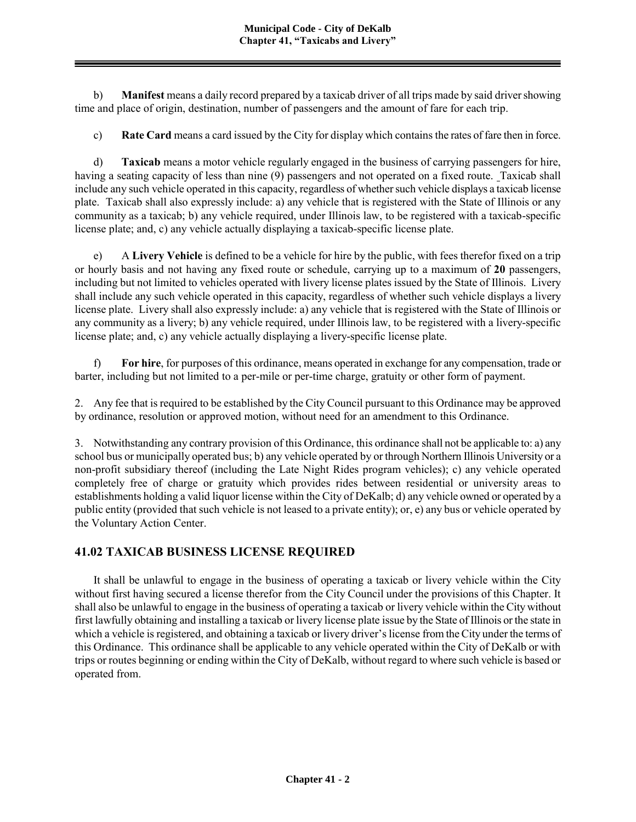b) **Manifest** means a daily record prepared by a taxicab driver of all trips made by said driver showing time and place of origin, destination, number of passengers and the amount of fare for each trip.

c) **Rate Card** means a card issued by the City for display which contains the rates of fare then in force.

d) **Taxicab** means a motor vehicle regularly engaged in the business of carrying passengers for hire, having a seating capacity of less than nine (9) passengers and not operated on a fixed route. Taxicab shall include any such vehicle operated in this capacity, regardless of whether such vehicle displays a taxicab license plate. Taxicab shall also expressly include: a) any vehicle that is registered with the State of Illinois or any community as a taxicab; b) any vehicle required, under Illinois law, to be registered with a taxicab-specific license plate; and, c) any vehicle actually displaying a taxicab-specific license plate.

e) A **Livery Vehicle** is defined to be a vehicle for hire by the public, with fees therefor fixed on a trip or hourly basis and not having any fixed route or schedule, carrying up to a maximum of **20** passengers, including but not limited to vehicles operated with livery license plates issued by the State of Illinois. Livery shall include any such vehicle operated in this capacity, regardless of whether such vehicle displays a livery license plate. Livery shall also expressly include: a) any vehicle that is registered with the State of Illinois or any community as a livery; b) any vehicle required, under Illinois law, to be registered with a livery-specific license plate; and, c) any vehicle actually displaying a livery-specific license plate.

f) **For hire**, for purposes of this ordinance, means operated in exchange for any compensation, trade or barter, including but not limited to a per-mile or per-time charge, gratuity or other form of payment.

2. Any fee that is required to be established by the City Council pursuant to this Ordinance may be approved by ordinance, resolution or approved motion, without need for an amendment to this Ordinance.

3. Notwithstanding any contrary provision of this Ordinance, this ordinance shall not be applicable to: a) any school bus or municipally operated bus; b) any vehicle operated by or through Northern Illinois University or a non-profit subsidiary thereof (including the Late Night Rides program vehicles); c) any vehicle operated completely free of charge or gratuity which provides rides between residential or university areas to establishments holding a valid liquor license within the City of DeKalb; d) any vehicle owned or operated by a public entity (provided that such vehicle is not leased to a private entity); or, e) any bus or vehicle operated by the Voluntary Action Center.

# **41.02 TAXICAB BUSINESS LICENSE REQUIRED**

It shall be unlawful to engage in the business of operating a taxicab or livery vehicle within the City without first having secured a license therefor from the City Council under the provisions of this Chapter. It shall also be unlawful to engage in the business of operating a taxicab or livery vehicle within the City without first lawfully obtaining and installing a taxicab or livery license plate issue by the State of Illinois or the state in which a vehicle is registered, and obtaining a taxicab or livery driver's license from the City under the terms of this Ordinance. This ordinance shall be applicable to any vehicle operated within the City of DeKalb or with trips or routes beginning or ending within the City of DeKalb, without regard to where such vehicle is based or operated from.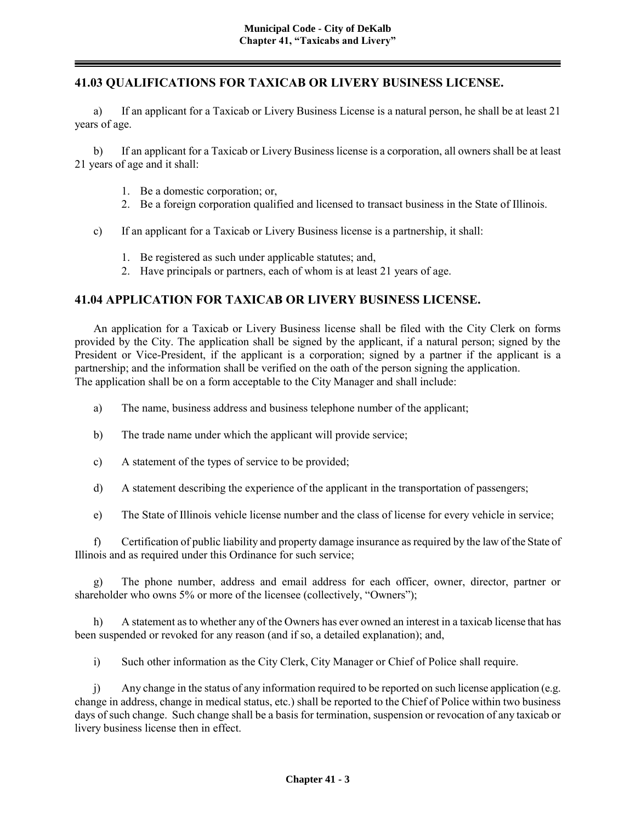### **41.03 QUALIFICATIONS FOR TAXICAB OR LIVERY BUSINESS LICENSE.**

a) If an applicant for a Taxicab or Livery Business License is a natural person, he shall be at least 21 years of age.

b) If an applicant for a Taxicab or Livery Business license is a corporation, all owners shall be at least 21 years of age and it shall:

- 1. Be a domestic corporation; or,
- 2. Be a foreign corporation qualified and licensed to transact business in the State of Illinois.
- c) If an applicant for a Taxicab or Livery Business license is a partnership, it shall:
	- 1. Be registered as such under applicable statutes; and,
	- 2. Have principals or partners, each of whom is at least 21 years of age.

### **41.04 APPLICATION FOR TAXICAB OR LIVERY BUSINESS LICENSE.**

An application for a Taxicab or Livery Business license shall be filed with the City Clerk on forms provided by the City. The application shall be signed by the applicant, if a natural person; signed by the President or Vice-President, if the applicant is a corporation; signed by a partner if the applicant is a partnership; and the information shall be verified on the oath of the person signing the application. The application shall be on a form acceptable to the City Manager and shall include:

- a) The name, business address and business telephone number of the applicant;
- b) The trade name under which the applicant will provide service;
- c) A statement of the types of service to be provided;
- d) A statement describing the experience of the applicant in the transportation of passengers;
- e) The State of Illinois vehicle license number and the class of license for every vehicle in service;

f) Certification of public liability and property damage insurance as required by the law of the State of Illinois and as required under this Ordinance for such service;

g) The phone number, address and email address for each officer, owner, director, partner or shareholder who owns 5% or more of the licensee (collectively, "Owners");

h) A statement as to whether any of the Owners has ever owned an interest in a taxicab license that has been suspended or revoked for any reason (and if so, a detailed explanation); and,

i) Such other information as the City Clerk, City Manager or Chief of Police shall require.

j) Any change in the status of any information required to be reported on such license application (e.g. change in address, change in medical status, etc.) shall be reported to the Chief of Police within two business days of such change. Such change shall be a basis for termination, suspension or revocation of any taxicab or livery business license then in effect.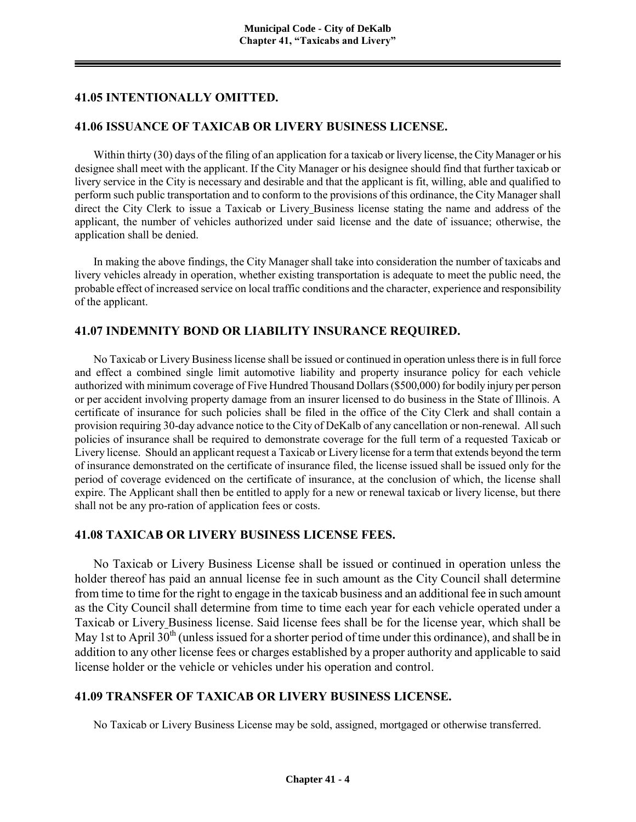### **41.05 INTENTIONALLY OMITTED.**

#### **41.06 ISSUANCE OF TAXICAB OR LIVERY BUSINESS LICENSE.**

Within thirty (30) days of the filing of an application for a taxicab or livery license, the City Manager or his designee shall meet with the applicant. If the City Manager or his designee should find that further taxicab or livery service in the City is necessary and desirable and that the applicant is fit, willing, able and qualified to perform such public transportation and to conform to the provisions of this ordinance, the City Manager shall direct the City Clerk to issue a Taxicab or Livery Business license stating the name and address of the applicant, the number of vehicles authorized under said license and the date of issuance; otherwise, the application shall be denied.

In making the above findings, the City Manager shall take into consideration the number of taxicabs and livery vehicles already in operation, whether existing transportation is adequate to meet the public need, the probable effect of increased service on local traffic conditions and the character, experience and responsibility of the applicant.

#### **41.07 INDEMNITY BOND OR LIABILITY INSURANCE REQUIRED.**

No Taxicab or Livery Business license shall be issued or continued in operation unless there is in full force and effect a combined single limit automotive liability and property insurance policy for each vehicle authorized with minimum coverage of Five Hundred Thousand Dollars (\$500,000) for bodily injury per person or per accident involving property damage from an insurer licensed to do business in the State of Illinois. A certificate of insurance for such policies shall be filed in the office of the City Clerk and shall contain a provision requiring 30-day advance notice to the City of DeKalb of any cancellation or non-renewal. All such policies of insurance shall be required to demonstrate coverage for the full term of a requested Taxicab or Livery license. Should an applicant request a Taxicab or Livery license for a term that extends beyond the term of insurance demonstrated on the certificate of insurance filed, the license issued shall be issued only for the period of coverage evidenced on the certificate of insurance, at the conclusion of which, the license shall expire. The Applicant shall then be entitled to apply for a new or renewal taxicab or livery license, but there shall not be any pro-ration of application fees or costs.

#### **41.08 TAXICAB OR LIVERY BUSINESS LICENSE FEES.**

No Taxicab or Livery Business License shall be issued or continued in operation unless the holder thereof has paid an annual license fee in such amount as the City Council shall determine from time to time for the right to engage in the taxicab business and an additional fee in such amount as the City Council shall determine from time to time each year for each vehicle operated under a Taxicab or Livery Business license. Said license fees shall be for the license year, which shall be May 1st to April  $30<sup>th</sup>$  (unless issued for a shorter period of time under this ordinance), and shall be in addition to any other license fees or charges established by a proper authority and applicable to said license holder or the vehicle or vehicles under his operation and control.

### **41.09 TRANSFER OF TAXICAB OR LIVERY BUSINESS LICENSE.**

No Taxicab or Livery Business License may be sold, assigned, mortgaged or otherwise transferred.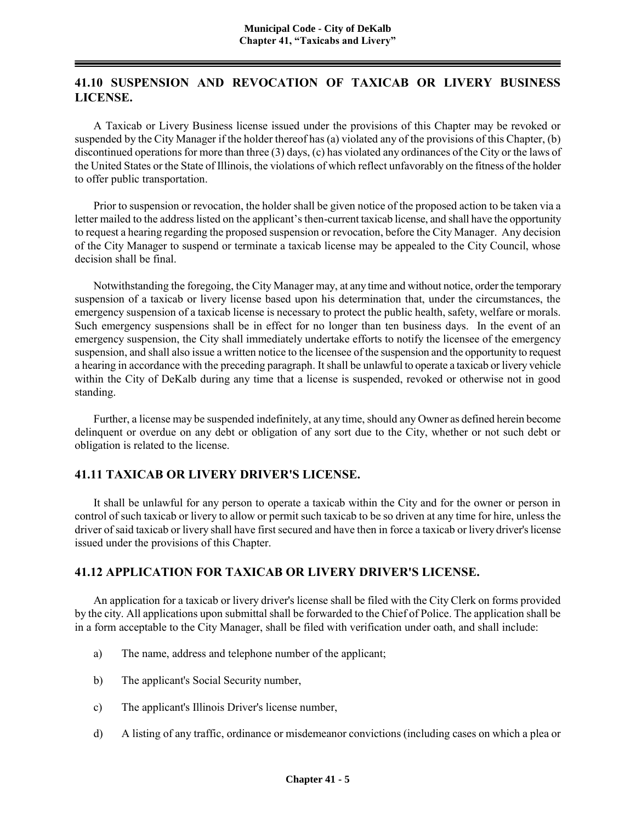# **41.10 SUSPENSION AND REVOCATION OF TAXICAB OR LIVERY BUSINESS LICENSE.**

A Taxicab or Livery Business license issued under the provisions of this Chapter may be revoked or suspended by the City Manager if the holder thereof has (a) violated any of the provisions of this Chapter, (b) discontinued operations for more than three (3) days, (c) has violated any ordinances of the City or the laws of the United States or the State of Illinois, the violations of which reflect unfavorably on the fitness of the holder to offer public transportation.

Prior to suspension or revocation, the holder shall be given notice of the proposed action to be taken via a letter mailed to the address listed on the applicant's then-current taxicab license, and shall have the opportunity to request a hearing regarding the proposed suspension or revocation, before the City Manager. Any decision of the City Manager to suspend or terminate a taxicab license may be appealed to the City Council, whose decision shall be final.

Notwithstanding the foregoing, the City Manager may, at any time and without notice, order the temporary suspension of a taxicab or livery license based upon his determination that, under the circumstances, the emergency suspension of a taxicab license is necessary to protect the public health, safety, welfare or morals. Such emergency suspensions shall be in effect for no longer than ten business days. In the event of an emergency suspension, the City shall immediately undertake efforts to notify the licensee of the emergency suspension, and shall also issue a written notice to the licensee of the suspension and the opportunity to request a hearing in accordance with the preceding paragraph. It shall be unlawful to operate a taxicab or livery vehicle within the City of DeKalb during any time that a license is suspended, revoked or otherwise not in good standing.

Further, a license may be suspended indefinitely, at any time, should any Owner as defined herein become delinquent or overdue on any debt or obligation of any sort due to the City, whether or not such debt or obligation is related to the license.

# **41.11 TAXICAB OR LIVERY DRIVER'S LICENSE.**

It shall be unlawful for any person to operate a taxicab within the City and for the owner or person in control of such taxicab or livery to allow or permit such taxicab to be so driven at any time for hire, unless the driver of said taxicab or livery shall have first secured and have then in force a taxicab or livery driver's license issued under the provisions of this Chapter.

# **41.12 APPLICATION FOR TAXICAB OR LIVERY DRIVER'S LICENSE.**

An application for a taxicab or livery driver's license shall be filed with the City Clerk on forms provided by the city. All applications upon submittal shall be forwarded to the Chief of Police. The application shall be in a form acceptable to the City Manager, shall be filed with verification under oath, and shall include:

- a) The name, address and telephone number of the applicant;
- b) The applicant's Social Security number,
- c) The applicant's Illinois Driver's license number,
- d) A listing of any traffic, ordinance or misdemeanor convictions (including cases on which a plea or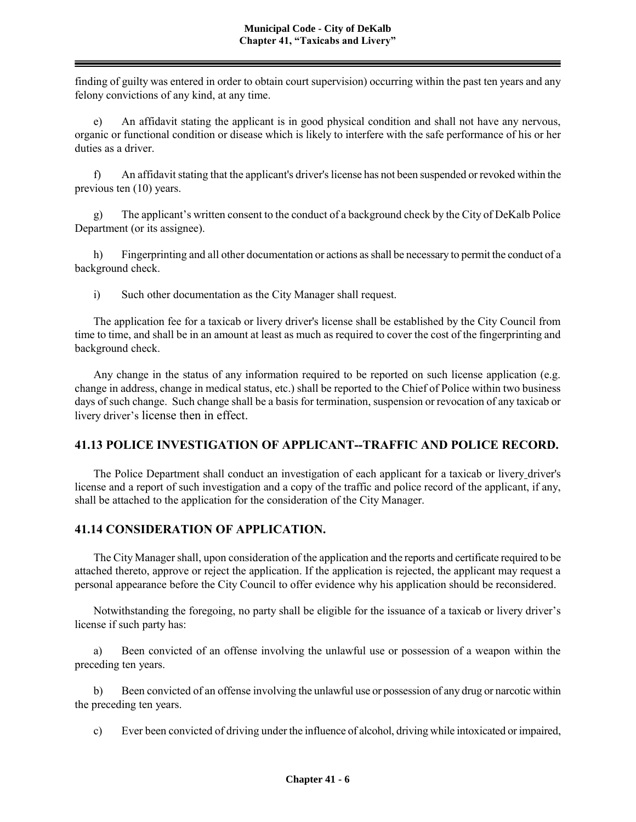finding of guilty was entered in order to obtain court supervision) occurring within the past ten years and any felony convictions of any kind, at any time.

e) An affidavit stating the applicant is in good physical condition and shall not have any nervous, organic or functional condition or disease which is likely to interfere with the safe performance of his or her duties as a driver.

f) An affidavit stating that the applicant's driver's license has not been suspended or revoked within the previous ten (10) years.

g) The applicant's written consent to the conduct of a background check by the City of DeKalb Police Department (or its assignee).

h) Fingerprinting and all other documentation or actions as shall be necessary to permit the conduct of a background check.

i) Such other documentation as the City Manager shall request.

The application fee for a taxicab or livery driver's license shall be established by the City Council from time to time, and shall be in an amount at least as much as required to cover the cost of the fingerprinting and background check.

Any change in the status of any information required to be reported on such license application (e.g. change in address, change in medical status, etc.) shall be reported to the Chief of Police within two business days of such change. Such change shall be a basis for termination, suspension or revocation of any taxicab or livery driver's license then in effect.

# **41.13 POLICE INVESTIGATION OF APPLICANT--TRAFFIC AND POLICE RECORD.**

The Police Department shall conduct an investigation of each applicant for a taxicab or livery driver's license and a report of such investigation and a copy of the traffic and police record of the applicant, if any, shall be attached to the application for the consideration of the City Manager.

# **41.14 CONSIDERATION OF APPLICATION.**

The City Manager shall, upon consideration of the application and the reports and certificate required to be attached thereto, approve or reject the application. If the application is rejected, the applicant may request a personal appearance before the City Council to offer evidence why his application should be reconsidered.

Notwithstanding the foregoing, no party shall be eligible for the issuance of a taxicab or livery driver's license if such party has:

a) Been convicted of an offense involving the unlawful use or possession of a weapon within the preceding ten years.

b) Been convicted of an offense involving the unlawful use or possession of any drug or narcotic within the preceding ten years.

c) Ever been convicted of driving under the influence of alcohol, driving while intoxicated or impaired,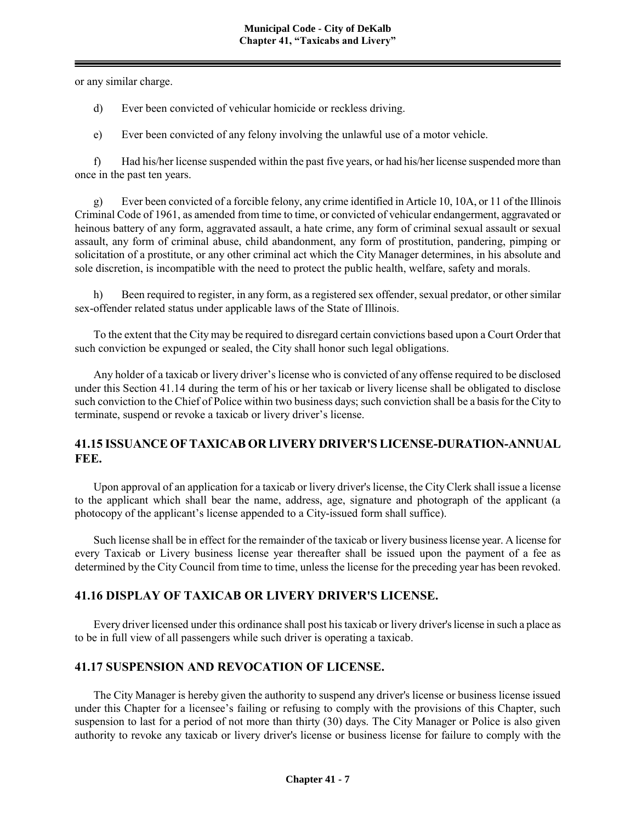or any similar charge.

d) Ever been convicted of vehicular homicide or reckless driving.

e) Ever been convicted of any felony involving the unlawful use of a motor vehicle.

f) Had his/her license suspended within the past five years, or had his/her license suspended more than once in the past ten years.

g) Ever been convicted of a forcible felony, any crime identified in Article 10, 10A, or 11 of the Illinois Criminal Code of 1961, as amended from time to time, or convicted of vehicular endangerment, aggravated or heinous battery of any form, aggravated assault, a hate crime, any form of criminal sexual assault or sexual assault, any form of criminal abuse, child abandonment, any form of prostitution, pandering, pimping or solicitation of a prostitute, or any other criminal act which the City Manager determines, in his absolute and sole discretion, is incompatible with the need to protect the public health, welfare, safety and morals.

h) Been required to register, in any form, as a registered sex offender, sexual predator, or other similar sex-offender related status under applicable laws of the State of Illinois.

To the extent that the City may be required to disregard certain convictions based upon a Court Order that such conviction be expunged or sealed, the City shall honor such legal obligations.

Any holder of a taxicab or livery driver's license who is convicted of any offense required to be disclosed under this Section 41.14 during the term of his or her taxicab or livery license shall be obligated to disclose such conviction to the Chief of Police within two business days; such conviction shall be a basis for the City to terminate, suspend or revoke a taxicab or livery driver's license.

### **41.15 ISSUANCE OF TAXICAB OR LIVERY DRIVER'S LICENSE-DURATION-ANNUAL FEE.**

Upon approval of an application for a taxicab or livery driver's license, the City Clerk shall issue a license to the applicant which shall bear the name, address, age, signature and photograph of the applicant (a photocopy of the applicant's license appended to a City-issued form shall suffice).

Such license shall be in effect for the remainder of the taxicab or livery business license year. A license for every Taxicab or Livery business license year thereafter shall be issued upon the payment of a fee as determined by the City Council from time to time, unless the license for the preceding year has been revoked.

# **41.16 DISPLAY OF TAXICAB OR LIVERY DRIVER'S LICENSE.**

Every driver licensed under this ordinance shall post his taxicab or livery driver's license in such a place as to be in full view of all passengers while such driver is operating a taxicab.

#### **41.17 SUSPENSION AND REVOCATION OF LICENSE.**

The City Manager is hereby given the authority to suspend any driver's license or business license issued under this Chapter for a licensee's failing or refusing to comply with the provisions of this Chapter, such suspension to last for a period of not more than thirty (30) days. The City Manager or Police is also given authority to revoke any taxicab or livery driver's license or business license for failure to comply with the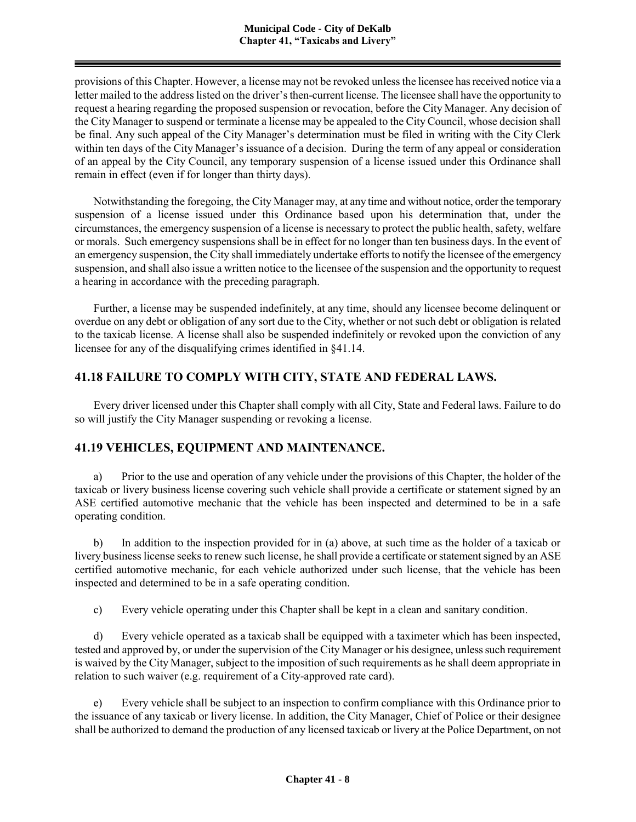provisions of this Chapter. However, a license may not be revoked unless the licensee has received notice via a letter mailed to the address listed on the driver's then-current license. The licensee shall have the opportunity to request a hearing regarding the proposed suspension or revocation, before the City Manager. Any decision of the City Manager to suspend or terminate a license may be appealed to the City Council, whose decision shall be final. Any such appeal of the City Manager's determination must be filed in writing with the City Clerk within ten days of the City Manager's issuance of a decision. During the term of any appeal or consideration of an appeal by the City Council, any temporary suspension of a license issued under this Ordinance shall remain in effect (even if for longer than thirty days).

Notwithstanding the foregoing, the City Manager may, at any time and without notice, order the temporary suspension of a license issued under this Ordinance based upon his determination that, under the circumstances, the emergency suspension of a license is necessary to protect the public health, safety, welfare or morals. Such emergency suspensions shall be in effect for no longer than ten business days. In the event of an emergency suspension, the City shall immediately undertake efforts to notify the licensee of the emergency suspension, and shall also issue a written notice to the licensee of the suspension and the opportunity to request a hearing in accordance with the preceding paragraph.

Further, a license may be suspended indefinitely, at any time, should any licensee become delinquent or overdue on any debt or obligation of any sort due to the City, whether or not such debt or obligation is related to the taxicab license. A license shall also be suspended indefinitely or revoked upon the conviction of any licensee for any of the disqualifying crimes identified in §41.14.

# **41.18 FAILURE TO COMPLY WITH CITY, STATE AND FEDERAL LAWS.**

Every driver licensed under this Chapter shall comply with all City, State and Federal laws. Failure to do so will justify the City Manager suspending or revoking a license.

# **41.19 VEHICLES, EQUIPMENT AND MAINTENANCE.**

a) Prior to the use and operation of any vehicle under the provisions of this Chapter, the holder of the taxicab or livery business license covering such vehicle shall provide a certificate or statement signed by an ASE certified automotive mechanic that the vehicle has been inspected and determined to be in a safe operating condition.

b) In addition to the inspection provided for in (a) above, at such time as the holder of a taxicab or livery business license seeks to renew such license, he shall provide a certificate or statement signed by an ASE certified automotive mechanic, for each vehicle authorized under such license, that the vehicle has been inspected and determined to be in a safe operating condition.

c) Every vehicle operating under this Chapter shall be kept in a clean and sanitary condition.

d) Every vehicle operated as a taxicab shall be equipped with a taximeter which has been inspected, tested and approved by, or under the supervision of the City Manager or his designee, unless such requirement is waived by the City Manager, subject to the imposition of such requirements as he shall deem appropriate in relation to such waiver (e.g. requirement of a City-approved rate card).

e) Every vehicle shall be subject to an inspection to confirm compliance with this Ordinance prior to the issuance of any taxicab or livery license. In addition, the City Manager, Chief of Police or their designee shall be authorized to demand the production of any licensed taxicab or livery at the Police Department, on not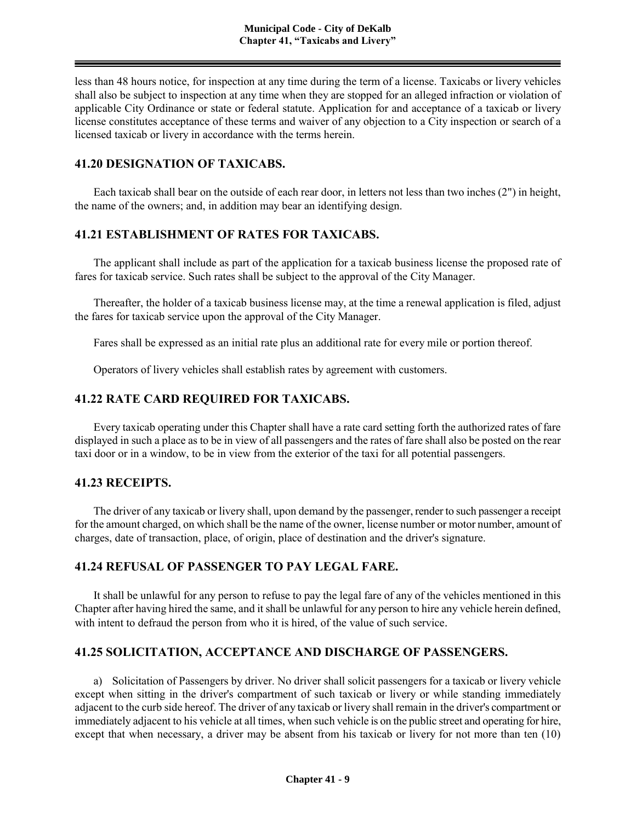less than 48 hours notice, for inspection at any time during the term of a license. Taxicabs or livery vehicles shall also be subject to inspection at any time when they are stopped for an alleged infraction or violation of applicable City Ordinance or state or federal statute. Application for and acceptance of a taxicab or livery license constitutes acceptance of these terms and waiver of any objection to a City inspection or search of a licensed taxicab or livery in accordance with the terms herein.

### **41.20 DESIGNATION OF TAXICABS.**

Each taxicab shall bear on the outside of each rear door, in letters not less than two inches (2") in height, the name of the owners; and, in addition may bear an identifying design.

### **41.21 ESTABLISHMENT OF RATES FOR TAXICABS.**

The applicant shall include as part of the application for a taxicab business license the proposed rate of fares for taxicab service. Such rates shall be subject to the approval of the City Manager.

Thereafter, the holder of a taxicab business license may, at the time a renewal application is filed, adjust the fares for taxicab service upon the approval of the City Manager.

Fares shall be expressed as an initial rate plus an additional rate for every mile or portion thereof.

Operators of livery vehicles shall establish rates by agreement with customers.

#### **41.22 RATE CARD REQUIRED FOR TAXICABS.**

Every taxicab operating under this Chapter shall have a rate card setting forth the authorized rates of fare displayed in such a place as to be in view of all passengers and the rates of fare shall also be posted on the rear taxi door or in a window, to be in view from the exterior of the taxi for all potential passengers.

#### **41.23 RECEIPTS.**

The driver of any taxicab or livery shall, upon demand by the passenger, render to such passenger a receipt for the amount charged, on which shall be the name of the owner, license number or motor number, amount of charges, date of transaction, place, of origin, place of destination and the driver's signature.

### **41.24 REFUSAL OF PASSENGER TO PAY LEGAL FARE.**

It shall be unlawful for any person to refuse to pay the legal fare of any of the vehicles mentioned in this Chapter after having hired the same, and it shall be unlawful for any person to hire any vehicle herein defined, with intent to defraud the person from who it is hired, of the value of such service.

#### **41.25 SOLICITATION, ACCEPTANCE AND DISCHARGE OF PASSENGERS.**

a) Solicitation of Passengers by driver. No driver shall solicit passengers for a taxicab or livery vehicle except when sitting in the driver's compartment of such taxicab or livery or while standing immediately adjacent to the curb side hereof. The driver of any taxicab or livery shall remain in the driver's compartment or immediately adjacent to his vehicle at all times, when such vehicle is on the public street and operating for hire, except that when necessary, a driver may be absent from his taxicab or livery for not more than ten (10)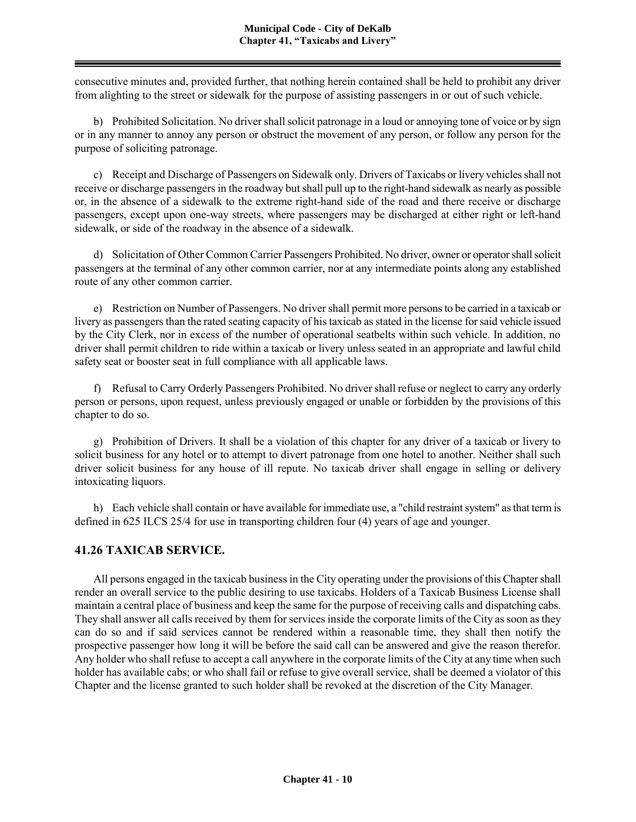consecutive minutes and, provided further, that nothing herein contained shall be held to prohibit any driver from alighting to the street or sidewalk for the purpose of assisting passengers in or out of such vehicle.

b) Prohibited Solicitation. No driver shall solicit patronage in a loud or annoying tone of voice or by sign or in any manner to annoy any person or obstruct the movement of any person, or follow any person for the purpose of soliciting patronage.

c) Receipt and Discharge of Passengers on Sidewalk only. Drivers of Taxicabs or livery vehicles shall not receive or discharge passengers in the roadway but shall pull up to the right-hand sidewalk as nearly as possible or, in the absence of a sidewalk to the extreme right-hand side of the road and there receive or discharge passengers, except upon one-way streets, where passengers may be discharged at either right or left-hand sidewalk, or side of the roadway in the absence of a sidewalk.

d) Solicitation of Other Common Carrier Passengers Prohibited. No driver, owner or operator shall solicit passengers at the terminal of any other common carrier, nor at any intermediate points along any established route of any other common carrier.

e) Restriction on Number of Passengers. No driver shall permit more persons to be carried in a taxicab or livery as passengers than the rated seating capacity of his taxicab as stated in the license for said vehicle issued by the City Clerk, nor in excess of the number of operational seatbelts within such vehicle. In addition, no driver shall permit children to ride within a taxicab or livery unless seated in an appropriate and lawful child safety seat or booster seat in full compliance with all applicable laws.

f) Refusal to Carry Orderly Passengers Prohibited. No driver shall refuse or neglect to carry any orderly person or persons, upon request, unless previously engaged or unable or forbidden by the provisions of this chapter to do so.

g) Prohibition of Drivers. It shall be a violation of this chapter for any driver of a taxicab or livery to solicit business for any hotel or to attempt to divert patronage from one hotel to another. Neither shall such driver solicit business for any house of ill repute. No taxicab driver shall engage in selling or delivery intoxicating liquors.

h) Each vehicle shall contain or have available for immediate use, a "child restraint system" as that term is defined in 625 ILCS 25/4 for use in transporting children four (4) years of age and younger.

# **41.26 TAXICAB SERVICE.**

All persons engaged in the taxicab business in the City operating under the provisions of this Chapter shall render an overall service to the public desiring to use taxicabs. Holders of a Taxicab Business License shall maintain a central place of business and keep the same for the purpose of receiving calls and dispatching cabs. They shall answer all calls received by them for services inside the corporate limits of the City as soon as they can do so and if said services cannot be rendered within a reasonable time, they shall then notify the prospective passenger how long it will be before the said call can be answered and give the reason therefor. Any holder who shall refuse to accept a call anywhere in the corporate limits of the City at any time when such holder has available cabs; or who shall fail or refuse to give overall service, shall be deemed a violator of this Chapter and the license granted to such holder shall be revoked at the discretion of the City Manager.